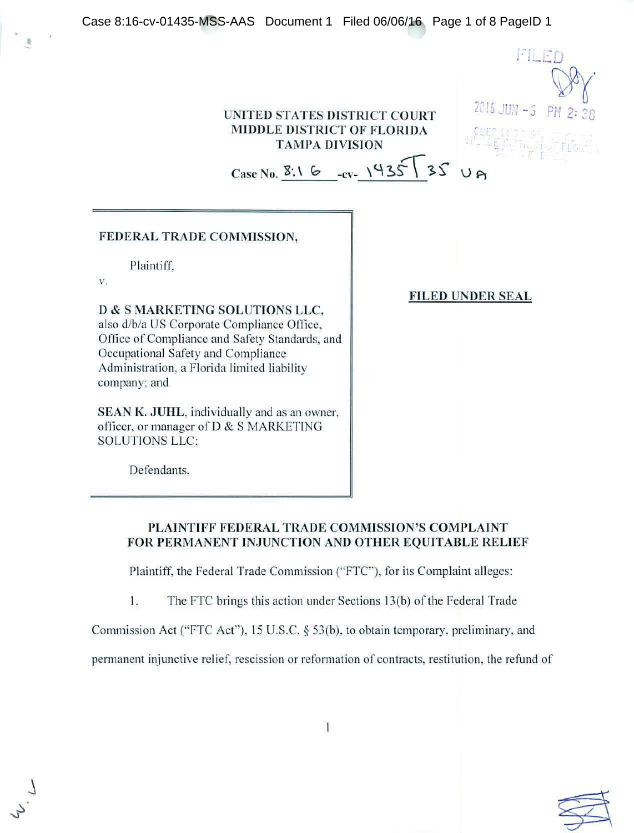| Case 8:16-cv-01435-MSS-AAS Document 1 Filed 06/06/16 Page 1 of 8 PageID 1                                                                                                                                                                                                                                                                                                 |                          |  |
|---------------------------------------------------------------------------------------------------------------------------------------------------------------------------------------------------------------------------------------------------------------------------------------------------------------------------------------------------------------------------|--------------------------|--|
| UNITED STATES DISTRICT COURT<br>MIDDLE DISTRICT OF FLORIDA<br><b>TAMPA DIVISION</b><br>Case No. 8:1 6 -cv- 1935 35                                                                                                                                                                                                                                                        | FILED<br>$2016$ JUH $-5$ |  |
| FEDERAL TRADE COMMISSION,                                                                                                                                                                                                                                                                                                                                                 |                          |  |
| Plaintiff.<br>V.<br>D & S MARKETING SOLUTIONS LLC,<br>also d/b/a US Corporate Compliance Office,<br>Office of Compliance and Safety Standards, and<br>Occupational Safety and Compliance<br>Administration, a Florida limited liability<br>company; and<br>SEAN K. JUHL, individually and as an owner,<br>officer, or manager of D & S MARKETING<br><b>SOLUTIONS LLC:</b> | <b>FILED UNDER SEAL</b>  |  |
| Defendants.                                                                                                                                                                                                                                                                                                                                                               |                          |  |

# PLAINTIFF FEDERAL TRADE COMMISSION'S COMPLAINT FOR PERMANENT INJUNCTION AND OTHER EQUITABLE RELIEF

Plaintiff, the Federal Trade Commission ("FTC"), for its Complaint alleges:

1. The FTC brings this action under Sections 13(b) of the Federal Trade

Commission Act ("FTC Act"), 15 U.S.C. § 53(b), to obtain temporary, preliminary, and

permanent injunctive relief, rescission or reformation of contracts, restitution, the refund of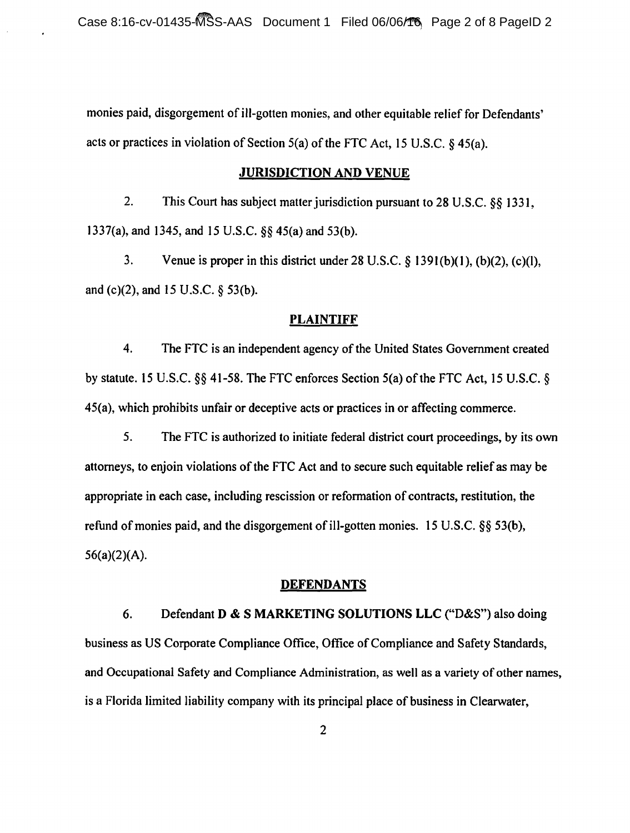monies paid, disgorgement of ill-gotten monies, and other equitable relief for Defendants' acts or practices in violation of Section 5(a) of the FTC Act, 15 U.S.C. § 45(a).

#### JURISDICTION AND VENUE

2. This Court has subject matter jurisdiction pursuant to 28 U.S.C. §§ 1331, 1337(a), and 1345, and 15 U.S.C. §§ 45(a) and 53(b).

3. Venue is proper in this district under 28 U.S.C.  $\S$  1391(b)(1), (b)(2), (c)(l), and (c)(2), and 15 U.S.C. § 53(b).

## **PLAINTIFF**

4. The FTC is an independent agency of the United States Government created by statute. 15 U.S.C.  $\S$ § 41-58. The FTC enforces Section 5(a) of the FTC Act, 15 U.S.C. § 45(a), which prohibits unfair or deceptive acts or practices in or affecting commerce.

5. The FTC is authorized to initiate federal district court proceedings. by its own attorneys, to enjoin violations of the FTC Act and to secure such equitable relief as may be appropriate in each case, including rescission or reformation of contracts, restitution, the refund of monies paid, and the disgorgement of ill-gotten monies. 15 U.S.C. §§ 53(b), 56(a)(2)(A).

### **DEFENDANTS**

6. Defendant D & S MARKETING SOLUTIONS LLC ("D&S") also doing business as US Corporate Compliance Office, Office of Compliance and Safety Standards, and Occupational Safety and Compliance Administration, as well as a variety of other names, is a Florida limited liability company with its principal place of business in Clearwater,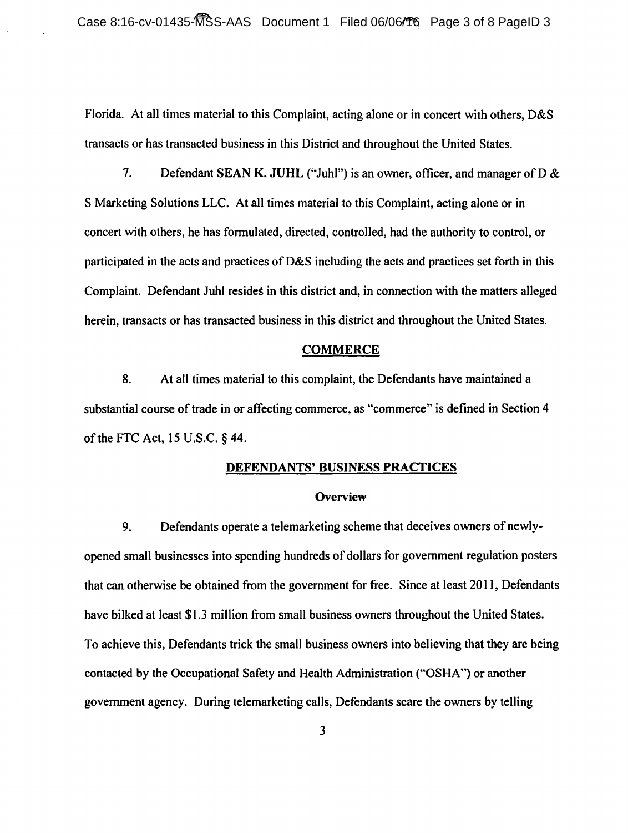Florida. At all times material to this Complaint, acting alone or in concert with others, D&S transacts or has transacted business in this District and throughout the United States.

7. Defendant SEAN K. JUHL ("Juhl") is an owner, officer, and manager of D  $\&$ S Marketing Solutions LLC. At all times material to this Complaint, acting alone or in concert with others, he has formulated, directed, controlled, had the authority to control, or participated in the acts and practices of D&S including the acts and practices set forth in this Complaint. Defendant Juhl resides in this district and, in connection with the matters alleged herein, transacts or has transacted business in this district and throughout the United States.

#### **COMMERCE**

8. At all times material to this complaint, the Defendants have maintained a substantial course of trade in or affecting commerce, as "commerce" is defined in Section 4 of the FTC Act, 15 U.S.C. § 44.

#### DEFENDANTS' BUSINESS PRACTICES

#### **Overview**

9. Defendants operate a telemarketing scheme that deceives owners of newlyopened small businesses into spending hundreds of dollars for government regulation posters that can otherwise be obtained from the government for free. Since at least 2011, Defendants have bilked at least \$1.3 million from small business owners throughout the United States. To achieve this, Defendants trick the small business owners into believing that they are being contacted by the Occupational Safety and Health Administration ("OSHA") or another government agency. During telemarketing calls, Defendants scare the owners by telling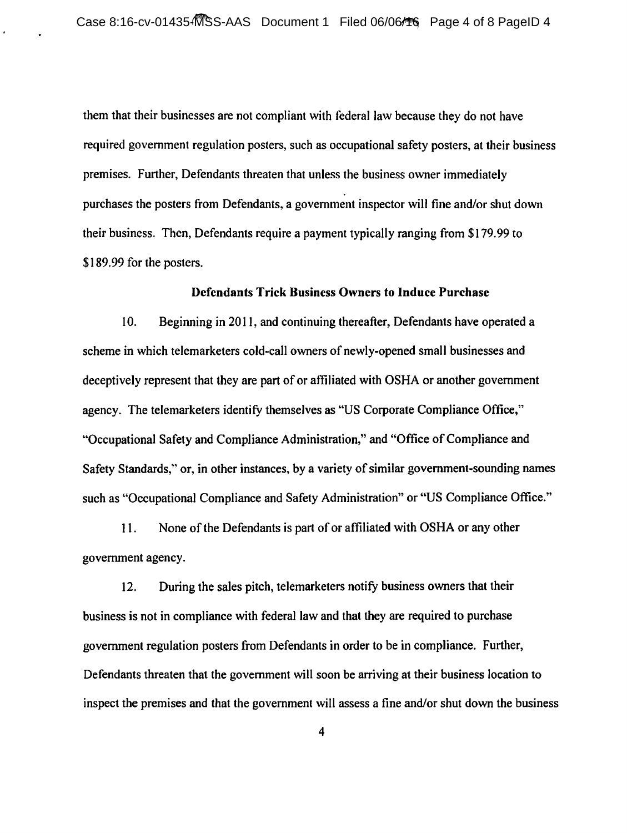them that their businesses are not compliant with federal law because they do not have required government regulation posters, such as occupational safety posters, at their business premises. Further, Defendants threaten that unless the business owner immediately purchases the posters from Defendants, a government inspector will fine and/or shut down their business. Then, Defendants require a payment typically ranging from \$179. 99 to \$189.99 for the posters.

#### Defendants Trick Business Owners to Induce Purchase

10. Beginning in 2011, and continuing thereafter, Defendants have operated a scheme in which telemarketers cold-call owners of newly-opened small businesses and deceptively represent that they are part of or affiliated with OSHA or another government agency. The telemarketers identify themselves as "US Corporate Compliance Office," "Occupational Safety and Compliance Administration," and "Office of Compliance and Safety Standards," or, in other instances, by a variety of similar government-sounding names such as "Occupational Compliance and Safety Administration" or "US Compliance Office."

11. None of the Defendants is part of or affiliated with OSHA or any other government agency.

12. During the sales pitch, telemarketers notify business owners that their business is not in compliance with federal law and that they are required to purchase government regulation posters from Defendants in order to be in compliance. Further, Defendants threaten that the government will soon be arriving at their business location to inspect the premises and that the government will assess a fine and/or shut down the business

4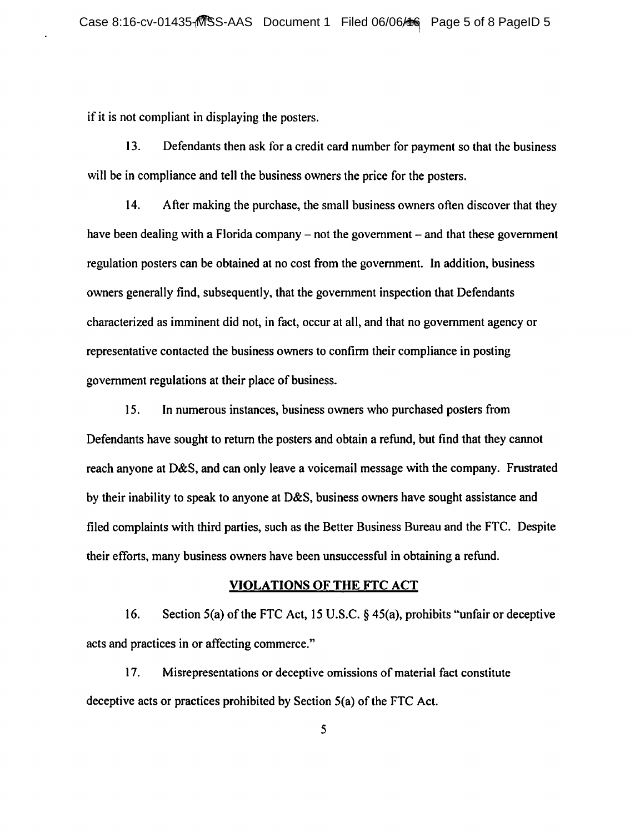if it is not compliant in displaying the posters.

13. Defendants then ask for a credit card number for payment so that the business will be in compliance and tell the business owners the price for the posters.

14. After making the purchase, the small business owners often discover that they have been dealing with a Florida company – not the government – and that these government regulation posters can be obtained at no cost from the government. In addition, business owners generally find, subsequently, that the government inspection that Defendants characterized as imminent did not, in fact, occur at all, and that no government agency or representative contacted the business owners to confirm their compliance in posting government regulations at their place of business.

15. In numerous instances, business owners who purchased posters from Defendants have sought to return the posters and obtain a refund, but find that they cannot reach anyone at D&S, and can only leave a voicemail message with the company. Frustrated by their inability to speak to anyone at D&S, business owners have sought assistance and filed complaints with third parties, such as the Better Business Bureau and the FTC. Despite their efforts, many business owners have been unsuccessful in obtaining a refund.

### VIOLATIONS OF THE FTC ACT

16. Section 5(a) of the FTC Act, 15 U.S.C. § 45(a), prohibits "unfair or deceptive acts and practices in or affecting commerce."

17. Misrepresentations or deceptive omissions of material fact constitute deceptive acts or practices prohibited by Section 5(a) of the FTC Act.

5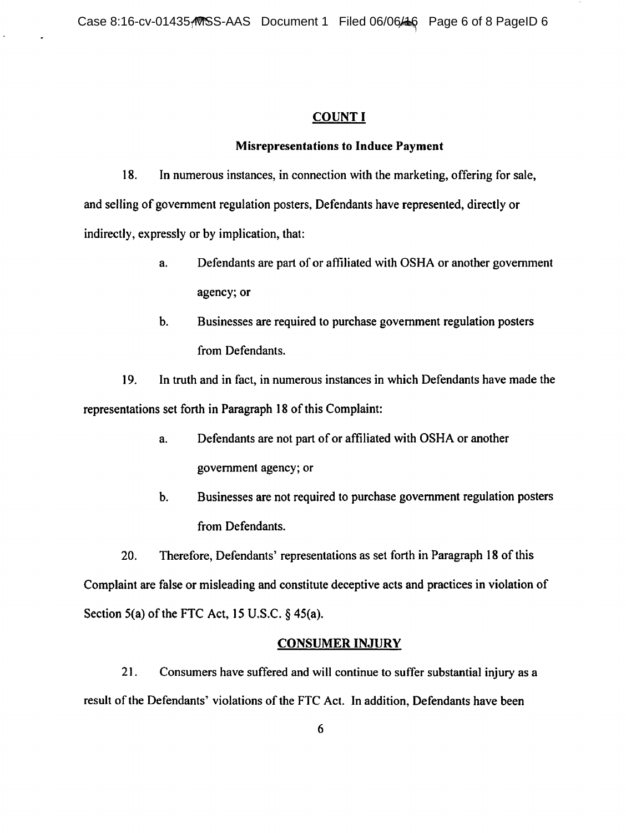## COUNT I

#### Misrepresentations to Induce Payment

18. In numerous instances, in connection with the marketing, offering for sale, and selling of government regulation posters, Defendants have represented, directly or indirectly, expressly or by implication, that:

- a. Defendants are part of or affiliated with OSHA or another government agency; or
- b. Businesses are required to purchase government regulation posters from Defendants.

19. In truth and in fact, in numerous instances in which Defendants have made the representations set forth in Paragraph 18 of this Complaint:

- a. Defendants are not part of or affiliated with OSHA or another government agency; or
- b. Businesses are not required to purchase government regulation posters from Defendants.

20. Therefore, Defendants' representations as set forth in Paragraph 18 of this Complaint are false or misleading and constitute deceptive acts and practices in violation of Section 5(a) of the FTC Act, 15 U.S.C. § 45(a).

## CONSUMER INJURY

21. Consumers have suffered and will continue to suffer substantial injury as a result of the Defendants' violations of the FTC Act. In addition, Defendants have been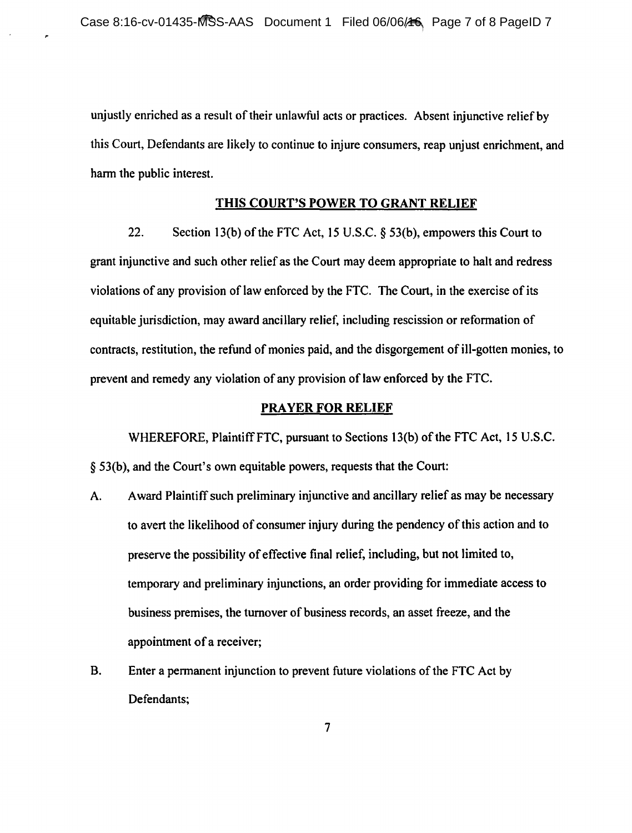unjustly enriched as a result of their unlawful acts or practices. Absent injunctive relief by this Court, Defendants are likely to continue to injure consumers, reap unjust enrichment, and harm the public interest.

## THIS COURT'S POWER TO GRANT RELIEF

22. Section 13(b) of the FTC Act, 15 U.S.C. § 53(b), empowers this Court to grant injunctive and such other relief as the Court may deem appropriate to halt and redress violations of any provision of law enforced by the FTC. The Court, in the exercise of its equitable jurisdiction, may award ancillary relief, including rescission or reformation of contracts, restitution, the refund of monies paid, and the disgorgement of ilJ-gotten monies, to prevent and remedy any violation of any provision of law enforced by the FTC.

### PRAYER FOR RELIEF

WHEREFORE, Plaintiff FTC, pursuant to Sections 13(b) of the FTC Act, 15 U.S.C. § 53(b), and the Court's own equitable powers, requests that the Court:

- A. Award Plaintiff such preliminary injunctive and ancillary relief as may be necessary to avert the likelihood of consumer injury during the pendency of this action and to preserve the possibility of effective final relief, including, but not limited to, temporary and preliminary injunctions, an order providing for immediate access to business premises, the turnover of business records, an asset freeze, and the appointment of a receiver;
- B. Enter a permanent injunction to prevent future violations of the FTC Act by Defendants;